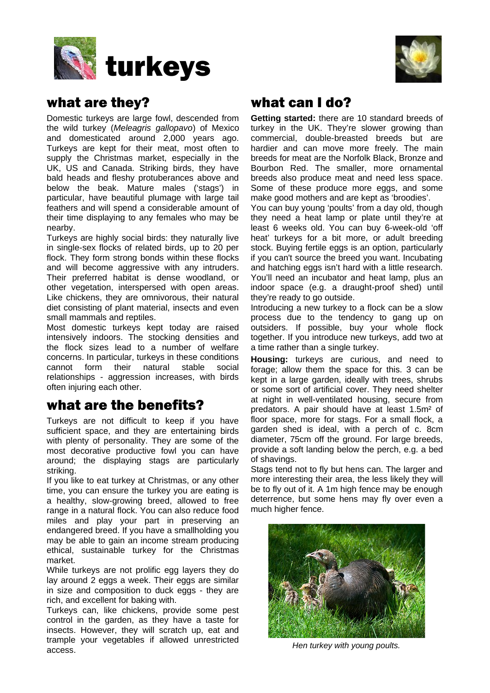



### what are they?

Domestic turkeys are large fowl, descended from the wild turkey (*Meleagris gallopavo*) of Mexico and domesticated around 2,000 years ago. Turkeys are kept for their meat, most often to supply the Christmas market, especially in the UK, US and Canada. Striking birds, they have bald heads and fleshy protuberances above and below the beak. Mature males ('stags') in particular, have beautiful plumage with large tail feathers and will spend a considerable amount of their time displaying to any females who may be nearby.

Turkeys are highly social birds: they naturally live in single-sex flocks of related birds, up to 20 per flock. They form strong bonds within these flocks and will become aggressive with any intruders. Their preferred habitat is dense woodland, or other vegetation, interspersed with open areas. Like chickens, they are omnivorous, their natural diet consisting of plant material, insects and even small mammals and reptiles.

Most domestic turkeys kept today are raised intensively indoors. The stocking densities and the flock sizes lead to a number of welfare concerns. In particular, turkeys in these conditions cannot form their natural stable social relationships - aggression increases, with birds often injuring each other.

### what are the benefits?

Turkeys are not difficult to keep if you have sufficient space, and they are entertaining birds with plenty of personality. They are some of the most decorative productive fowl you can have around; the displaying stags are particularly striking.

If you like to eat turkey at Christmas, or any other time, you can ensure the turkey you are eating is a healthy, slow-growing breed, allowed to free range in a natural flock. You can also reduce food miles and play your part in preserving an endangered breed. If you have a smallholding you may be able to gain an income stream producing ethical, sustainable turkey for the Christmas market.

While turkeys are not prolific egg layers they do lay around 2 eggs a week. Their eggs are similar in size and composition to duck eggs - they are rich, and excellent for baking with.

Turkeys can, like chickens, provide some pest control in the garden, as they have a taste for insects. However, they will scratch up, eat and trample your vegetables if allowed unrestricted access.

## what can I do?

**Getting started:** there are 10 standard breeds of turkey in the UK. They're slower growing than commercial, double-breasted breeds but are hardier and can move more freely. The main breeds for meat are the Norfolk Black, Bronze and Bourbon Red. The smaller, more ornamental breeds also produce meat and need less space. Some of these produce more eggs, and some make good mothers and are kept as 'broodies'.

You can buy young 'poults' from a day old, though they need a heat lamp or plate until they're at least 6 weeks old. You can buy 6-week-old 'off heat' turkeys for a bit more, or adult breeding stock. Buying fertile eggs is an option, particularly if you can't source the breed you want. Incubating and hatching eggs isn't hard with a little research. You'll need an incubator and heat lamp, plus an indoor space (e.g. a draught-proof shed) until they're ready to go outside.

Introducing a new turkey to a flock can be a slow process due to the tendency to gang up on outsiders. If possible, buy your whole flock together. If you introduce new turkeys, add two at a time rather than a single turkey.

**Housing:** turkeys are curious, and need to forage; allow them the space for this. 3 can be kept in a large garden, ideally with trees, shrubs or some sort of artificial cover. They need shelter at night in well-ventilated housing, secure from predators. A pair should have at least 1.5m² of floor space, more for stags. For a small flock, a garden shed is ideal, with a perch of c. 8cm diameter, 75cm off the ground. For large breeds, provide a soft landing below the perch, e.g. a bed of shavings.

Stags tend not to fly but hens can. The larger and more interesting their area, the less likely they will be to fly out of it. A 1m high fence may be enough deterrence, but some hens may fly over even a much higher fence.



*Hen turkey with young poults.*